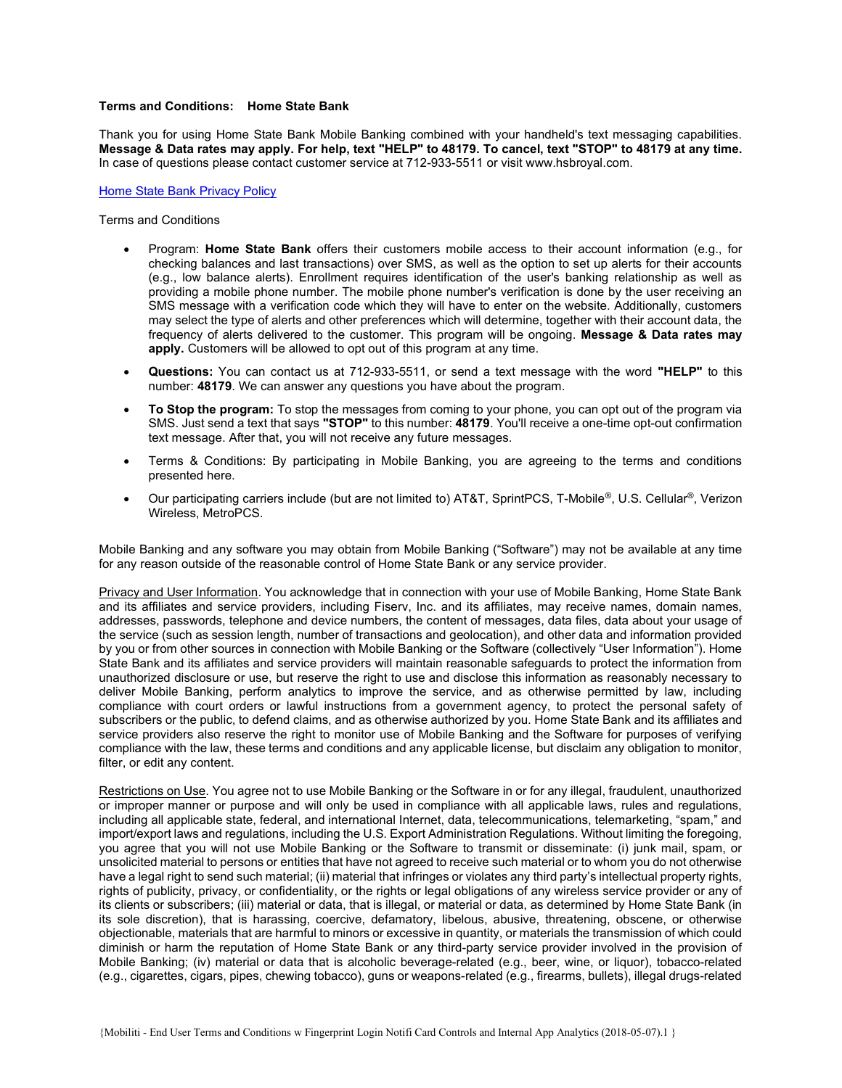# Terms and Conditions: Home State Bank

Thank you for using Home State Bank Mobile Banking combined with your handheld's text messaging capabilities. Message & Data rates may apply. For help, text "HELP" to 48179. To cancel, text "STOP" to 48179 at any time. In case of questions please contact customer service at 712-933-5511 or visit www.hsbroyal.com.

#### Home State Bank Privacy Policy

Terms and Conditions

- Program: Home State Bank offers their customers mobile access to their account information (e.g., for checking balances and last transactions) over SMS, as well as the option to set up alerts for their accounts (e.g., low balance alerts). Enrollment requires identification of the user's banking relationship as well as providing a mobile phone number. The mobile phone number's verification is done by the user receiving an SMS message with a verification code which they will have to enter on the website. Additionally, customers may select the type of alerts and other preferences which will determine, together with their account data, the frequency of alerts delivered to the customer. This program will be ongoing. Message & Data rates may apply. Customers will be allowed to opt out of this program at any time.
- Questions: You can contact us at 712-933-5511, or send a text message with the word "HELP" to this number: 48179. We can answer any questions you have about the program.
- To Stop the program: To stop the messages from coming to your phone, you can opt out of the program via SMS. Just send a text that says "STOP" to this number: 48179. You'll receive a one-time opt-out confirmation text message. After that, you will not receive any future messages.
- Terms & Conditions: By participating in Mobile Banking, you are agreeing to the terms and conditions presented here.
- Our participating carriers include (but are not limited to) AT&T, SprintPCS, T-Mobile®, U.S. Cellular®, Verizon Wireless, MetroPCS.

Mobile Banking and any software you may obtain from Mobile Banking ("Software") may not be available at any time for any reason outside of the reasonable control of Home State Bank or any service provider.

Privacy and User Information. You acknowledge that in connection with your use of Mobile Banking, Home State Bank and its affiliates and service providers, including Fiserv, Inc. and its affiliates, may receive names, domain names, addresses, passwords, telephone and device numbers, the content of messages, data files, data about your usage of the service (such as session length, number of transactions and geolocation), and other data and information provided by you or from other sources in connection with Mobile Banking or the Software (collectively "User Information"). Home State Bank and its affiliates and service providers will maintain reasonable safeguards to protect the information from unauthorized disclosure or use, but reserve the right to use and disclose this information as reasonably necessary to deliver Mobile Banking, perform analytics to improve the service, and as otherwise permitted by law, including compliance with court orders or lawful instructions from a government agency, to protect the personal safety of subscribers or the public, to defend claims, and as otherwise authorized by you. Home State Bank and its affiliates and service providers also reserve the right to monitor use of Mobile Banking and the Software for purposes of verifying compliance with the law, these terms and conditions and any applicable license, but disclaim any obligation to monitor, filter, or edit any content.

Restrictions on Use. You agree not to use Mobile Banking or the Software in or for any illegal, fraudulent, unauthorized or improper manner or purpose and will only be used in compliance with all applicable laws, rules and regulations, including all applicable state, federal, and international Internet, data, telecommunications, telemarketing, "spam," and import/export laws and regulations, including the U.S. Export Administration Regulations. Without limiting the foregoing, you agree that you will not use Mobile Banking or the Software to transmit or disseminate: (i) junk mail, spam, or unsolicited material to persons or entities that have not agreed to receive such material or to whom you do not otherwise have a legal right to send such material; (ii) material that infringes or violates any third party's intellectual property rights, rights of publicity, privacy, or confidentiality, or the rights or legal obligations of any wireless service provider or any of its clients or subscribers; (iii) material or data, that is illegal, or material or data, as determined by Home State Bank (in its sole discretion), that is harassing, coercive, defamatory, libelous, abusive, threatening, obscene, or otherwise objectionable, materials that are harmful to minors or excessive in quantity, or materials the transmission of which could diminish or harm the reputation of Home State Bank or any third-party service provider involved in the provision of Mobile Banking; (iv) material or data that is alcoholic beverage-related (e.g., beer, wine, or liquor), tobacco-related (e.g., cigarettes, cigars, pipes, chewing tobacco), guns or weapons-related (e.g., firearms, bullets), illegal drugs-related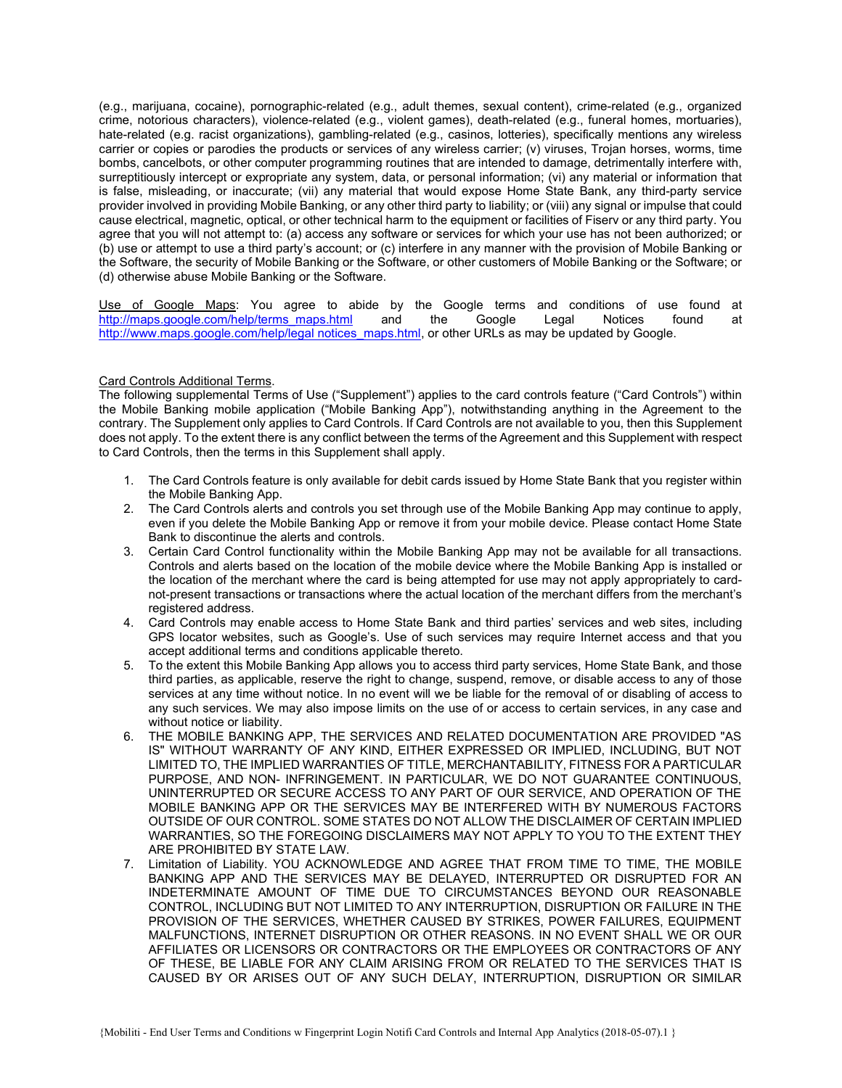(e.g., marijuana, cocaine), pornographic-related (e.g., adult themes, sexual content), crime-related (e.g., organized crime, notorious characters), violence-related (e.g., violent games), death-related (e.g., funeral homes, mortuaries), hate-related (e.g. racist organizations), gambling-related (e.g., casinos, lotteries), specifically mentions any wireless carrier or copies or parodies the products or services of any wireless carrier; (v) viruses, Trojan horses, worms, time bombs, cancelbots, or other computer programming routines that are intended to damage, detrimentally interfere with, surreptitiously intercept or expropriate any system, data, or personal information; (vi) any material or information that is false, misleading, or inaccurate; (vii) any material that would expose Home State Bank, any third-party service provider involved in providing Mobile Banking, or any other third party to liability; or (viii) any signal or impulse that could cause electrical, magnetic, optical, or other technical harm to the equipment or facilities of Fiserv or any third party. You agree that you will not attempt to: (a) access any software or services for which your use has not been authorized; or (b) use or attempt to use a third party's account; or (c) interfere in any manner with the provision of Mobile Banking or the Software, the security of Mobile Banking or the Software, or other customers of Mobile Banking or the Software; or (d) otherwise abuse Mobile Banking or the Software.

Use of Google Maps: You agree to abide by the Google terms and conditions of use found at http://maps.google.com/help/terms\_maps.html and the Google Legal Notices found at http://www.maps.google.com/help/legal notices\_maps.html, or other URLs as may be updated by Google.

# Card Controls Additional Terms.

The following supplemental Terms of Use ("Supplement") applies to the card controls feature ("Card Controls") within the Mobile Banking mobile application ("Mobile Banking App"), notwithstanding anything in the Agreement to the contrary. The Supplement only applies to Card Controls. If Card Controls are not available to you, then this Supplement does not apply. To the extent there is any conflict between the terms of the Agreement and this Supplement with respect to Card Controls, then the terms in this Supplement shall apply.

- 1. The Card Controls feature is only available for debit cards issued by Home State Bank that you register within the Mobile Banking App.
- 2. The Card Controls alerts and controls you set through use of the Mobile Banking App may continue to apply, even if you delete the Mobile Banking App or remove it from your mobile device. Please contact Home State Bank to discontinue the alerts and controls.
- 3. Certain Card Control functionality within the Mobile Banking App may not be available for all transactions. Controls and alerts based on the location of the mobile device where the Mobile Banking App is installed or the location of the merchant where the card is being attempted for use may not apply appropriately to cardnot-present transactions or transactions where the actual location of the merchant differs from the merchant's registered address.
- 4. Card Controls may enable access to Home State Bank and third parties' services and web sites, including GPS locator websites, such as Google's. Use of such services may require Internet access and that you accept additional terms and conditions applicable thereto.
- 5. To the extent this Mobile Banking App allows you to access third party services, Home State Bank, and those third parties, as applicable, reserve the right to change, suspend, remove, or disable access to any of those services at any time without notice. In no event will we be liable for the removal of or disabling of access to any such services. We may also impose limits on the use of or access to certain services, in any case and without notice or liability.
- 6. THE MOBILE BANKING APP, THE SERVICES AND RELATED DOCUMENTATION ARE PROVIDED "AS IS" WITHOUT WARRANTY OF ANY KIND, EITHER EXPRESSED OR IMPLIED, INCLUDING, BUT NOT LIMITED TO, THE IMPLIED WARRANTIES OF TITLE, MERCHANTABILITY, FITNESS FOR A PARTICULAR PURPOSE, AND NON- INFRINGEMENT. IN PARTICULAR, WE DO NOT GUARANTEE CONTINUOUS, UNINTERRUPTED OR SECURE ACCESS TO ANY PART OF OUR SERVICE, AND OPERATION OF THE MOBILE BANKING APP OR THE SERVICES MAY BE INTERFERED WITH BY NUMEROUS FACTORS OUTSIDE OF OUR CONTROL. SOME STATES DO NOT ALLOW THE DISCLAIMER OF CERTAIN IMPLIED WARRANTIES, SO THE FOREGOING DISCLAIMERS MAY NOT APPLY TO YOU TO THE EXTENT THEY ARE PROHIBITED BY STATE LAW.
- 7. Limitation of Liability. YOU ACKNOWLEDGE AND AGREE THAT FROM TIME TO TIME, THE MOBILE BANKING APP AND THE SERVICES MAY BE DELAYED, INTERRUPTED OR DISRUPTED FOR AN INDETERMINATE AMOUNT OF TIME DUE TO CIRCUMSTANCES BEYOND OUR REASONABLE CONTROL, INCLUDING BUT NOT LIMITED TO ANY INTERRUPTION, DISRUPTION OR FAILURE IN THE PROVISION OF THE SERVICES, WHETHER CAUSED BY STRIKES, POWER FAILURES, EQUIPMENT MALFUNCTIONS, INTERNET DISRUPTION OR OTHER REASONS. IN NO EVENT SHALL WE OR OUR AFFILIATES OR LICENSORS OR CONTRACTORS OR THE EMPLOYEES OR CONTRACTORS OF ANY OF THESE, BE LIABLE FOR ANY CLAIM ARISING FROM OR RELATED TO THE SERVICES THAT IS CAUSED BY OR ARISES OUT OF ANY SUCH DELAY, INTERRUPTION, DISRUPTION OR SIMILAR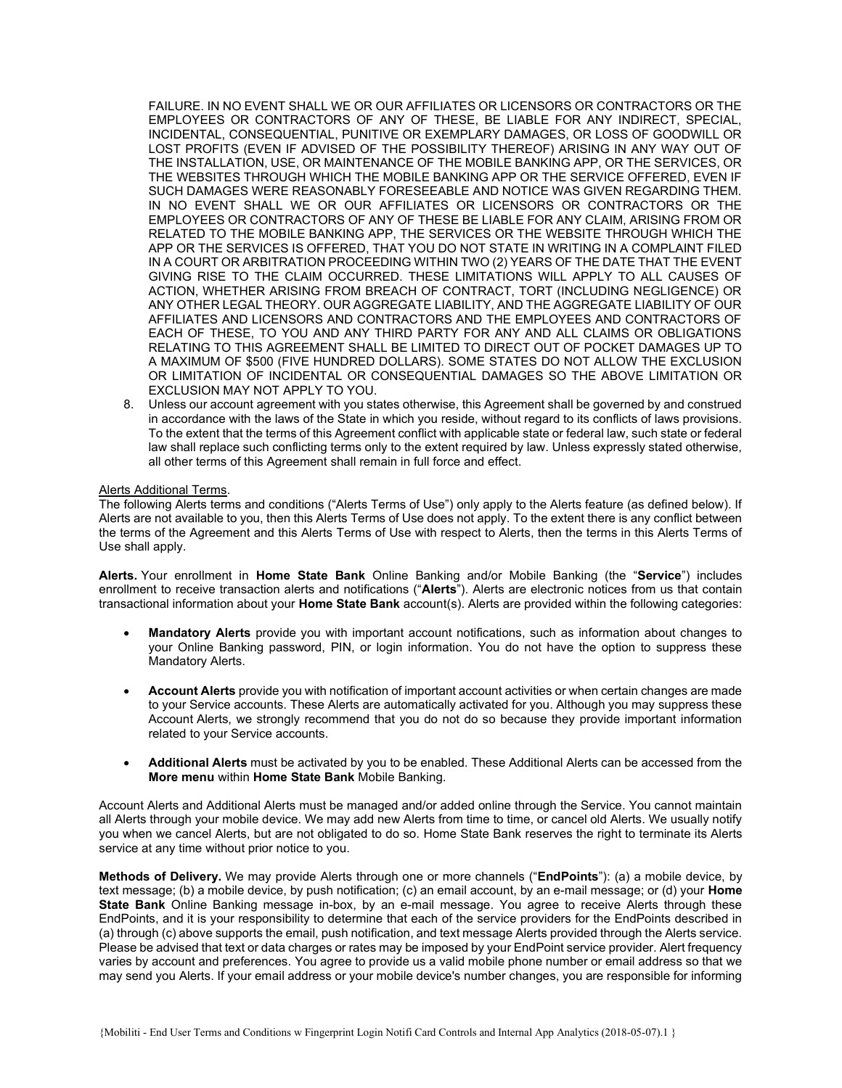FAILURE. IN NO EVENT SHALL WE OR OUR AFFILIATES OR LICENSORS OR CONTRACTORS OR THE EMPLOYEES OR CONTRACTORS OF ANY OF THESE, BE LIABLE FOR ANY INDIRECT, SPECIAL, INCIDENTAL, CONSEQUENTIAL, PUNITIVE OR EXEMPLARY DAMAGES, OR LOSS OF GOODWILL OR LOST PROFITS (EVEN IF ADVISED OF THE POSSIBILITY THEREOF) ARISING IN ANY WAY OUT OF THE INSTALLATION, USE, OR MAINTENANCE OF THE MOBILE BANKING APP, OR THE SERVICES, OR THE WEBSITES THROUGH WHICH THE MOBILE BANKING APP OR THE SERVICE OFFERED, EVEN IF SUCH DAMAGES WERE REASONABLY FORESEEABLE AND NOTICE WAS GIVEN REGARDING THEM. IN NO EVENT SHALL WE OR OUR AFFILIATES OR LICENSORS OR CONTRACTORS OR THE EMPLOYEES OR CONTRACTORS OF ANY OF THESE BE LIABLE FOR ANY CLAIM, ARISING FROM OR RELATED TO THE MOBILE BANKING APP, THE SERVICES OR THE WEBSITE THROUGH WHICH THE APP OR THE SERVICES IS OFFERED, THAT YOU DO NOT STATE IN WRITING IN A COMPLAINT FILED IN A COURT OR ARBITRATION PROCEEDING WITHIN TWO (2) YEARS OF THE DATE THAT THE EVENT GIVING RISE TO THE CLAIM OCCURRED. THESE LIMITATIONS WILL APPLY TO ALL CAUSES OF ACTION, WHETHER ARISING FROM BREACH OF CONTRACT, TORT (INCLUDING NEGLIGENCE) OR ANY OTHER LEGAL THEORY. OUR AGGREGATE LIABILITY, AND THE AGGREGATE LIABILITY OF OUR AFFILIATES AND LICENSORS AND CONTRACTORS AND THE EMPLOYEES AND CONTRACTORS OF EACH OF THESE, TO YOU AND ANY THIRD PARTY FOR ANY AND ALL CLAIMS OR OBLIGATIONS RELATING TO THIS AGREEMENT SHALL BE LIMITED TO DIRECT OUT OF POCKET DAMAGES UP TO A MAXIMUM OF \$500 (FIVE HUNDRED DOLLARS). SOME STATES DO NOT ALLOW THE EXCLUSION OR LIMITATION OF INCIDENTAL OR CONSEQUENTIAL DAMAGES SO THE ABOVE LIMITATION OR EXCLUSION MAY NOT APPLY TO YOU.

8. Unless our account agreement with you states otherwise, this Agreement shall be governed by and construed in accordance with the laws of the State in which you reside, without regard to its conflicts of laws provisions. To the extent that the terms of this Agreement conflict with applicable state or federal law, such state or federal law shall replace such conflicting terms only to the extent required by law. Unless expressly stated otherwise, all other terms of this Agreement shall remain in full force and effect.

## Alerts Additional Terms.

The following Alerts terms and conditions ("Alerts Terms of Use") only apply to the Alerts feature (as defined below). If Alerts are not available to you, then this Alerts Terms of Use does not apply. To the extent there is any conflict between the terms of the Agreement and this Alerts Terms of Use with respect to Alerts, then the terms in this Alerts Terms of Use shall apply.

Alerts. Your enrollment in Home State Bank Online Banking and/or Mobile Banking (the "Service") includes enrollment to receive transaction alerts and notifications ("Alerts"). Alerts are electronic notices from us that contain transactional information about your Home State Bank account(s). Alerts are provided within the following categories:

- Mandatory Alerts provide you with important account notifications, such as information about changes to your Online Banking password, PIN, or login information. You do not have the option to suppress these Mandatory Alerts.
- Account Alerts provide you with notification of important account activities or when certain changes are made to your Service accounts. These Alerts are automatically activated for you. Although you may suppress these Account Alerts, we strongly recommend that you do not do so because they provide important information related to your Service accounts.
- Additional Alerts must be activated by you to be enabled. These Additional Alerts can be accessed from the More menu within Home State Bank Mobile Banking.

Account Alerts and Additional Alerts must be managed and/or added online through the Service. You cannot maintain all Alerts through your mobile device. We may add new Alerts from time to time, or cancel old Alerts. We usually notify you when we cancel Alerts, but are not obligated to do so. Home State Bank reserves the right to terminate its Alerts service at any time without prior notice to you.

Methods of Delivery. We may provide Alerts through one or more channels ("EndPoints"): (a) a mobile device, by text message; (b) a mobile device, by push notification; (c) an email account, by an e-mail message; or (d) your Home State Bank Online Banking message in-box, by an e-mail message. You agree to receive Alerts through these EndPoints, and it is your responsibility to determine that each of the service providers for the EndPoints described in (a) through (c) above supports the email, push notification, and text message Alerts provided through the Alerts service. Please be advised that text or data charges or rates may be imposed by your EndPoint service provider. Alert frequency varies by account and preferences. You agree to provide us a valid mobile phone number or email address so that we may send you Alerts. If your email address or your mobile device's number changes, you are responsible for informing